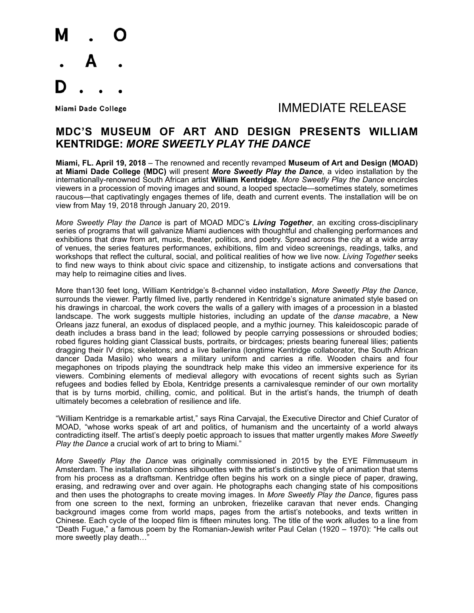

## Miami Dade College **Algebra 2018** MMEDIATE RELEASE

### **MDC'S MUSEUM OF ART AND DESIGN PRESENTS WILLIAM KENTRIDGE:** *MORE SWEETLY PLAY THE DANCE*

**Miami, FL. April 19, 2018** – The renowned and recently revamped **Museum of Art and Design (MOAD) at Miami Dade College (MDC)** will present *More Sweetly Play the Dance*, a video installation by the internationally-renowned South African artist **William Kentridge**. *More Sweetly Play the Dance* encircles viewers in a procession of moving images and sound, a looped spectacle—sometimes stately, sometimes raucous—that captivatingly engages themes of life, death and current events. The installation will be on view from May 19, 2018 through January 20, 2019.

*More Sweetly Play the Dance* is part of MOAD MDC's *Living Together*, an exciting cross-disciplinary series of programs that will galvanize Miami audiences with thoughtful and challenging performances and exhibitions that draw from art, music, theater, politics, and poetry. Spread across the city at a wide array of venues, the series features performances, exhibitions, film and video screenings, readings, talks, and workshops that reflect the cultural, social, and political realities of how we live now. *Living Together* seeks to find new ways to think about civic space and citizenship, to instigate actions and conversations that may help to reimagine cities and lives.

More than130 feet long, William Kentridge's 8-channel video installation, *More Sweetly Play the Dance*, surrounds the viewer. Partly filmed live, partly rendered in Kentridge's signature animated style based on his drawings in charcoal, the work covers the walls of a gallery with images of a procession in a blasted landscape. The work suggests multiple histories, including an update of the *danse macabre*, a New Orleans jazz funeral, an exodus of displaced people, and a mythic journey. This kaleidoscopic parade of death includes a brass band in the lead; followed by people carrying possessions or shrouded bodies; robed figures holding giant Classical busts, portraits, or birdcages; priests bearing funereal lilies; patients dragging their IV drips; skeletons; and a live ballerina (longtime Kentridge collaborator, the South African dancer Dada Masilo) who wears a military uniform and carries a rifle. Wooden chairs and four megaphones on tripods playing the soundtrack help make this video an immersive experience for its viewers. Combining elements of medieval allegory with evocations of recent sights such as Syrian refugees and bodies felled by Ebola, Kentridge presents a carnivalesque reminder of our own mortality that is by turns morbid, chilling, comic, and political. But in the artist's hands, the triumph of death ultimately becomes a celebration of resilience and life.

"William Kentridge is a remarkable artist," says Rina Carvajal, the Executive Director and Chief Curator of MOAD, "whose works speak of art and politics, of humanism and the uncertainty of a world always contradicting itself. The artist's deeply poetic approach to issues that matter urgently makes *More Sweetly Play the Dance* a crucial work of art to bring to Miami."

*More Sweetly Play the Dance* was originally commissioned in 2015 by the EYE Filmmuseum in Amsterdam. The installation combines silhouettes with the artist's distinctive style of animation that stems from his process as a draftsman. Kentridge often begins his work on a single piece of paper, drawing, erasing, and redrawing over and over again. He photographs each changing state of his compositions and then uses the photographs to create moving images. In *More Sweetly Play the Dance*, figures pass from one screen to the next, forming an unbroken, friezelike caravan that never ends. Changing background images come from world maps, pages from the artist's notebooks, and texts written in Chinese. Each cycle of the looped film is fifteen minutes long. The title of the work alludes to a line from "Death Fugue," a famous poem by the Romanian-Jewish writer Paul Celan (1920 – 1970): "He calls out more sweetly play death…"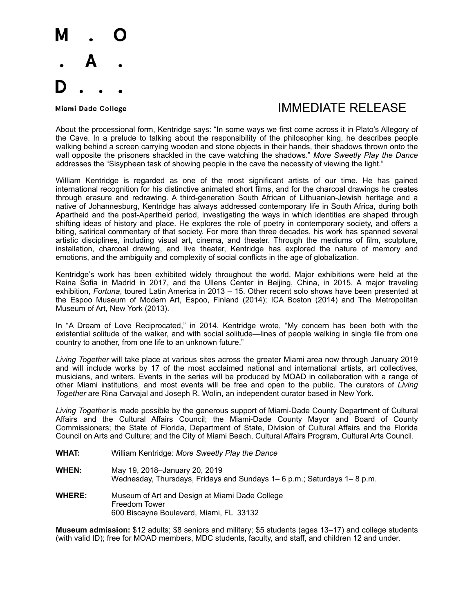

# Miami Dade College **Algebra 2018** MMEDIATE RELEASE

About the processional form, Kentridge says: "In some ways we first come across it in Plato's Allegory of the Cave. In a prelude to talking about the responsibility of the philosopher king, he describes people walking behind a screen carrying wooden and stone objects in their hands, their shadows thrown onto the wall opposite the prisoners shackled in the cave watching the shadows." *More Sweetly Play the Dance* addresses the "Sisyphean task of showing people in the cave the necessity of viewing the light."

William Kentridge is regarded as one of the most significant artists of our time. He has gained international recognition for his distinctive animated short films, and for the charcoal drawings he creates through erasure and redrawing. A third-generation South African of Lithuanian-Jewish heritage and a native of Johannesburg, Kentridge has always addressed contemporary life in South Africa, during both Apartheid and the post-Apartheid period, investigating the ways in which identities are shaped through shifting ideas of history and place. He explores the role of poetry in contemporary society, and offers a biting, satirical commentary of that society. For more than three decades, his work has spanned several artistic disciplines, including visual art, cinema, and theater. Through the mediums of film, sculpture, installation, charcoal drawing, and live theater, Kentridge has explored the nature of memory and emotions, and the ambiguity and complexity of social conflicts in the age of globalization.

Kentridge's work has been exhibited widely throughout the world. Major exhibitions were held at the Reina Sofia in Madrid in 2017, and the Ullens Center in Beijing, China, in 2015. A major traveling exhibition, *Fortuna*, toured Latin America in 2013 – 15. Other recent solo shows have been presented at the Espoo Museum of Modern Art, Espoo, Finland (2014); ICA Boston (2014) and The Metropolitan Museum of Art, New York (2013).

In "A Dream of Love Reciprocated," in 2014, Kentridge wrote, "My concern has been both with the existential solitude of the walker, and with social solitude—lines of people walking in single file from one country to another, from one life to an unknown future."

*Living Together* will take place at various sites across the greater Miami area now through January 2019 and will include works by 17 of the most acclaimed national and international artists, art collectives, musicians, and writers. Events in the series will be produced by MOAD in collaboration with a range of other Miami institutions, and most events will be free and open to the public. The curators of *Living Together* are Rina Carvajal and Joseph R. Wolin, an independent curator based in New York.

*Living Together* is made possible by the generous support of Miami-Dade County Department of Cultural Affairs and the Cultural Affairs Council; the Miami-Dade County Mayor and Board of County Commissioners; the State of Florida, Department of State, Division of Cultural Affairs and the Florida Council on Arts and Culture; and the City of Miami Beach, Cultural Affairs Program, Cultural Arts Council.

- **WHAT:** William Kentridge: *More Sweetly Play the Dance*
- **WHEN:** May 19, 2018–January 20, 2019 Wednesday, Thursdays, Fridays and Sundays 1– 6 p.m.; Saturdays 1– 8 p.m.
- **WHERE:** Museum of Art and Design at Miami Dade College Freedom Tower 600 Biscayne Boulevard, Miami, FL 33132

**Museum admission:** \$12 adults; \$8 seniors and military; \$5 students (ages 13–17) and college students (with valid ID); free for MOAD members, MDC students, faculty, and staff, and children 12 and under.